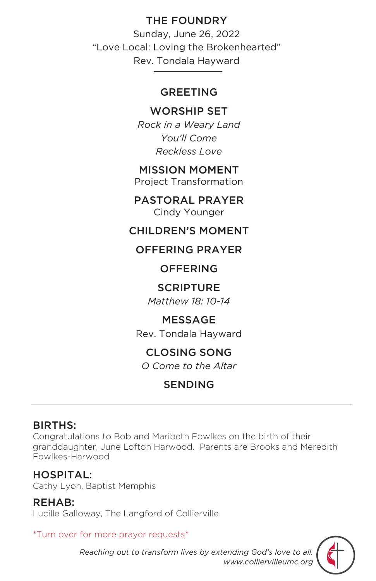# THE FOUNDRY

Sunday, June 26, 2022 "Love Local: Loving the Brokenhearted" Rev. Tondala Hayward

#### GREETING

## WORSHIP SET

*Rock in a Weary Land You'll Come Reckless Love*

#### MISSION MOMENT

Project Transformation

PASTORAL PRAYER Cindy Younger

### CHILDREN'S MOMENT

### OFFERING PRAYER

### **OFFERING**

#### SCRIPTURE

*Matthew 18: 10-14*

### MESSAGE

Rev. Tondala Hayward

# CLOSING SONG

*O Come to the Altar*

# SENDING

# BIRTHS:

Congratulations to Bob and Maribeth Fowlkes on the birth of their granddaughter, June Lofton Harwood. Parents are Brooks and Meredith Fowlkes-Harwood

### HOSPITAL:

Cathy Lyon, Baptist Memphis

#### REHAB:

Lucille Galloway, The Langford of Collierville

#### \*Turn over for more prayer requests\*



*Reaching out to transform lives by extending God's love to all. www.colliervilleumc.org*